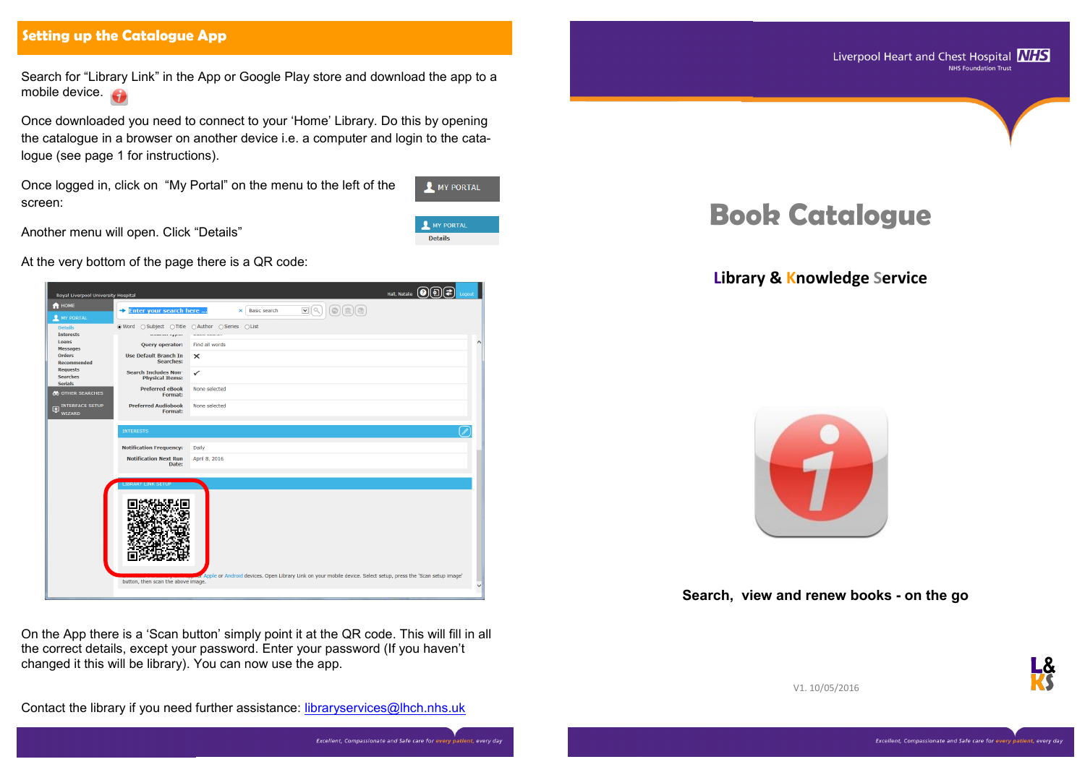#### **Setting up the Catalogue App**

Search for "Library Link" in the App or Google Play store and download the app to a mobile device.

Once downloaded you need to connect to your 'Home' Library. Do this by opening the catalogue in a browser on another device i.e. a computer and login to the catalogue (see page 1 for instructions).

Once logged in, click on "My Portal" on the menu to the left of the screen:



**Details** 

Another menu will open. Click "Details"

At the very bottom of the page there is a QR code:

On the App there is a 'Scan button' simply point it at the QR code. This will fill in all the correct details, except your password. Enter your password (If you haven't changed it this will be library). You can now use the app.

Contact the library if you need further assistance: [libraryservices@lhch.nhs.uk](mailto:libraryservices@lhch.nhs.uk?subject=Liberty%20Book%20Catalogue%20enquiry)

# **Book Catalogue**

## **Library & Knowledge Service**



**Search, view and renew books - on the go**



V1. 10/05/2016